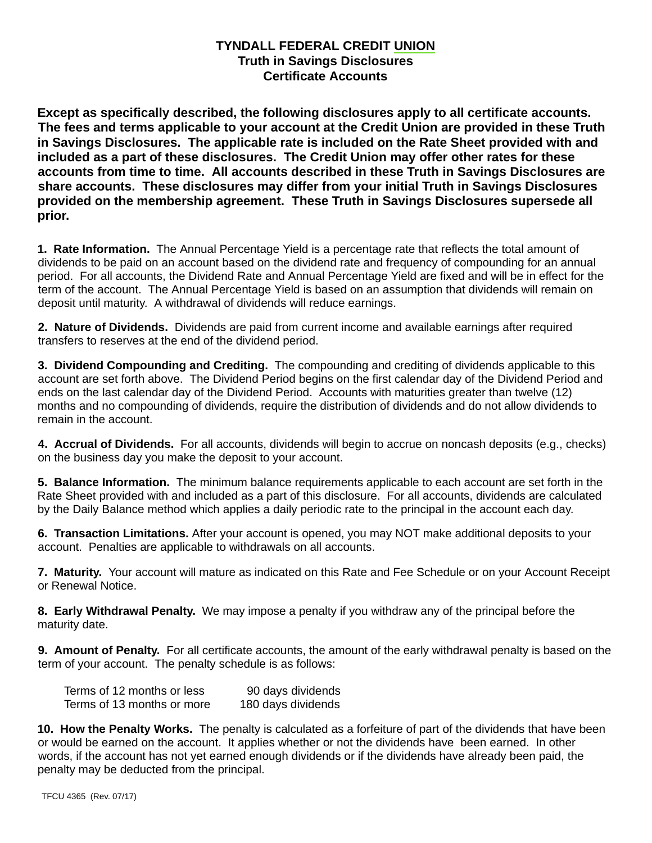# **TYNDALL FEDERAL CREDIT UNION Truth in Savings Disclosures Certificate Accounts**

**Except as specifically described, the following disclosures apply to all certificate accounts. The fees and terms applicable to your account at the Credit Union are provided in these Truth in Savings Disclosures. The applicable rate is included on the Rate Sheet provided with and included as a part of these disclosures. The Credit Union may offer other rates for these accounts from time to time. All accounts described in these Truth in Savings Disclosures are share accounts. These disclosures may differ from your initial Truth in Savings Disclosures provided on the membership agreement. These Truth in Savings Disclosures supersede all prior.**

**1. Rate Information.** The Annual Percentage Yield is a percentage rate that reflects the total amount of dividends to be paid on an account based on the dividend rate and frequency of compounding for an annual period. For all accounts, the Dividend Rate and Annual Percentage Yield are fixed and will be in effect for the term of the account. The Annual Percentage Yield is based on an assumption that dividends will remain on deposit until maturity. A withdrawal of dividends will reduce earnings.

**2. Nature of Dividends.** Dividends are paid from current income and available earnings after required transfers to reserves at the end of the dividend period.

**3. Dividend Compounding and Crediting.** The compounding and crediting of dividends applicable to this account are set forth above. The Dividend Period begins on the first calendar day of the Dividend Period and ends on the last calendar day of the Dividend Period. Accounts with maturities greater than twelve (12) months and no compounding of dividends, require the distribution of dividends and do not allow dividends to remain in the account.

**4. Accrual of Dividends.** For all accounts, dividends will begin to accrue on noncash deposits (e.g., checks) on the business day you make the deposit to your account.

**5. Balance Information.** The minimum balance requirements applicable to each account are set forth in the Rate Sheet provided with and included as a part of this disclosure. For all accounts, dividends are calculated by the Daily Balance method which applies a daily periodic rate to the principal in the account each day.

**6. Transaction Limitations.** After your account is opened, you may NOT make additional deposits to your account. Penalties are applicable to withdrawals on all accounts.

**7. Maturity.** Your account will mature as indicated on this Rate and Fee Schedule or on your Account Receipt or Renewal Notice.

**8. Early Withdrawal Penalty.** We may impose a penalty if you withdraw any of the principal before the maturity date.

**9. Amount of Penalty.** For all certificate accounts, the amount of the early withdrawal penalty is based on the term of your account. The penalty schedule is as follows:

| Terms of 12 months or less | 90 days dividends  |
|----------------------------|--------------------|
| Terms of 13 months or more | 180 days dividends |

**10. How the Penalty Works.** The penalty is calculated as a forfeiture of part of the dividends that have been or would be earned on the account. It applies whether or not the dividends have been earned. In other words, if the account has not yet earned enough dividends or if the dividends have already been paid, the penalty may be deducted from the principal.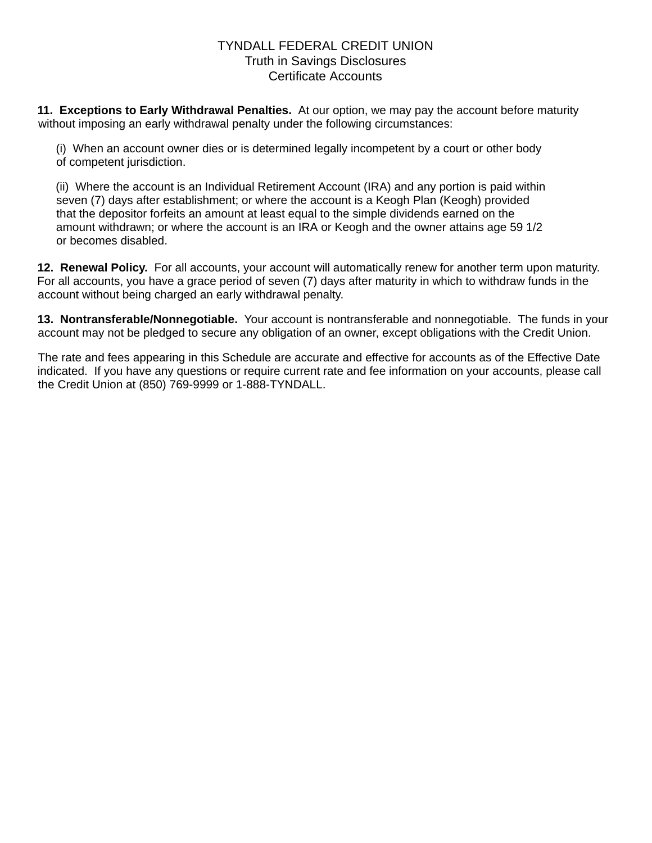## TYNDALL FEDERAL CREDIT UNION Truth in Savings Disclosures Certificate Accounts

**11. Exceptions to Early Withdrawal Penalties.** At our option, we may pay the account before maturity without imposing an early withdrawal penalty under the following circumstances:

(i) When an account owner dies or is determined legally incompetent by a court or other body of competent jurisdiction.

(ii) Where the account is an Individual Retirement Account (IRA) and any portion is paid within seven (7) days after establishment; or where the account is a Keogh Plan (Keogh) provided that the depositor forfeits an amount at least equal to the simple dividends earned on the amount withdrawn; or where the account is an IRA or Keogh and the owner attains age 59 1/2 or becomes disabled.

**12. Renewal Policy.** For all accounts, your account will automatically renew for another term upon maturity. For all accounts, you have a grace period of seven (7) days after maturity in which to withdraw funds in the account without being charged an early withdrawal penalty.

**13. Nontransferable/Nonnegotiable.** Your account is nontransferable and nonnegotiable. The funds in your account may not be pledged to secure any obligation of an owner, except obligations with the Credit Union.

The rate and fees appearing in this Schedule are accurate and effective for accounts as of the Effective Date indicated. If you have any questions or require current rate and fee information on your accounts, please call the Credit Union at (850) 769-9999 or 1-888-TYNDALL.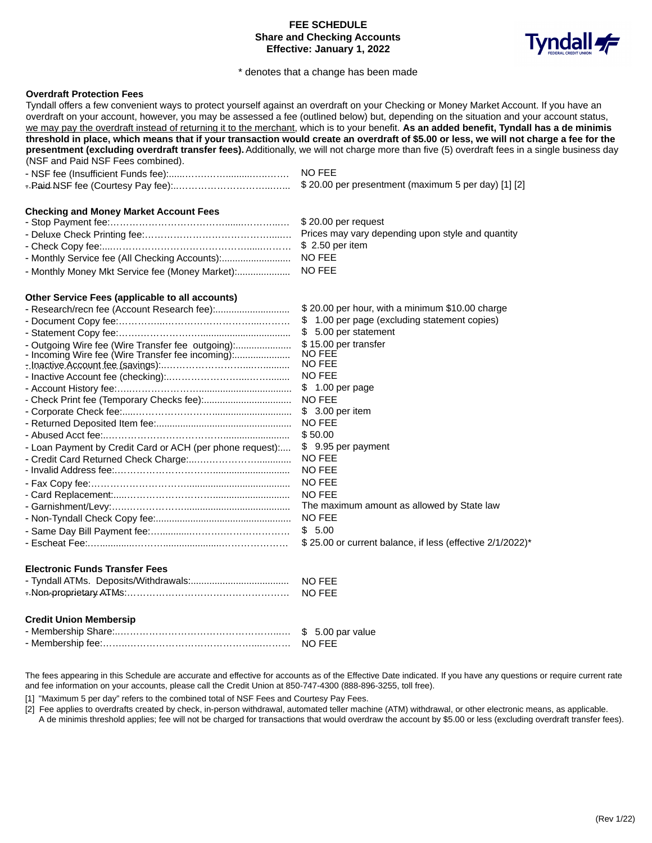## **FEE SCHEDULE Share and Checking Accounts** Effective: January 1, 2022



#### \* denotes that a change has been made

#### **Overdraft Protection Fees**

Tyndall offers a few convenient ways to protect yourself against an overdraft on your Checking or Money Market Account. If you have an overdraft on your account, however, you may be assessed a fee (outlined below) but, depending on the situation and your account status, we may pay the overdraft instead of returning it to the merchant, which is to your benefit. As an added benefit, Tyndall has a de minimis threshold in place, which means that if your transaction would create an overdraft of \$5.00 or less, we will not charge a fee for the presentment (excluding overdraft transfer fees). Additionally, we will not charge more than five (5) overdraft fees in a single business day (NSF and Paid NSF Fees combined).

| NO FEE                                              |
|-----------------------------------------------------|
| \$20.00 per presentment (maximum 5 per day) [1] [2] |

#### **Checking and Money Market Account Fees**

| Prices may vary depending upon style and quantity |
|---------------------------------------------------|
|                                                   |
|                                                   |
|                                                   |

#### Other Service Fees (applicable to all accounts)

| - Outgoing Wire fee (Wire Transfer fee outgoing):<br>- Incoming Wire fee (Wire Transfer fee incoming):<br>- Loan Payment by Credit Card or ACH (per phone request): | \$20.00 per hour, with a minimum \$10.00 charge<br>\$1.00 per page (excluding statement copies)<br>5.00 per statement<br>S.<br>\$15.00 per transfer<br>NO FEE<br><b>NO FEE</b><br>NO FEE<br>$$1.00$ per page<br>NO FEE<br>$$3.00$ per item<br><b>NO FEE</b><br>\$50.00<br>\$9.95 per payment<br>NO FEE<br>NO FEE<br>NO FEE<br>NO FEE<br>The maximum amount as allowed by State law |
|---------------------------------------------------------------------------------------------------------------------------------------------------------------------|------------------------------------------------------------------------------------------------------------------------------------------------------------------------------------------------------------------------------------------------------------------------------------------------------------------------------------------------------------------------------------|
|                                                                                                                                                                     |                                                                                                                                                                                                                                                                                                                                                                                    |
|                                                                                                                                                                     | NO FEE<br>\$5.00<br>\$25.00 or current balance, if less (effective 2/1/2022)                                                                                                                                                                                                                                                                                                       |
|                                                                                                                                                                     |                                                                                                                                                                                                                                                                                                                                                                                    |

## **Electronic Funds Transfer Fees**

|  | NO FEE |
|--|--------|
|  | NO FEE |

#### **Credit Union Membersip**

The fees appearing in this Schedule are accurate and effective for accounts as of the Effective Date indicated. If you have any questions or require current rate and fee information on your accounts, please call the Credit Union at 850-747-4300 (888-896-3255, toll free).

[1] "Maximum 5 per day" refers to the combined total of NSF Fees and Courtesy Pay Fees.

[2] Fee applies to overdrafts created by check, in-person withdrawal, automated teller machine (ATM) withdrawal, or other electronic means, as applicable. A de minimis threshold applies; fee will not be charged for transactions that would overdraw the account by \$5.00 or less (excluding overdraft transfer fees).